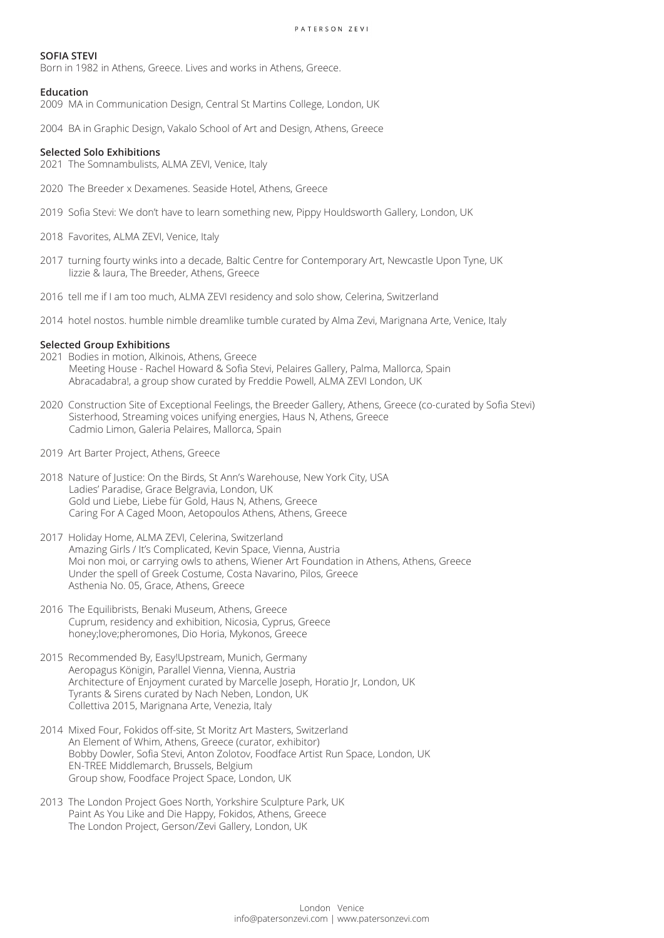# **SOFIA STEVI**

Born in 1982 in Athens, Greece. Lives and works in Athens, Greece.

### **Education**

2009 MA in Communication Design, Central St Martins College, London, UK

2004 BA in Graphic Design, Vakalo School of Art and Design, Athens, Greece

### **Selected Solo Exhibitions**

2021 The Somnambulists, ALMA ZEVI, Venice, Italy

- 2020 The Breeder x Dexamenes. Seaside Hotel, Athens, Greece
- 2019 Sofia Stevi: We don't have to learn something new, Pippy Houldsworth Gallery, London, UK
- 2018 Favorites, ALMA ZEVI, Venice, Italy
- 2017 turning fourty winks into a decade, Baltic Centre for Contemporary Art, Newcastle Upon Tyne, UK lizzie & laura, The Breeder, Athens, Greece
- 2016 tell me if I am too much, ALMA ZEVI residency and solo show, Celerina, Switzerland
- 2014 hotel nostos. humble nimble dreamlike tumble curated by Alma Zevi, Marignana Arte, Venice, Italy

### **Selected Group Exhibitions**

- 2021 Bodies in motion, Alkinois, Athens, Greece Meeting House - Rachel Howard & Sofia Stevi, Pelaires Gallery, Palma, Mallorca, Spain Abracadabra!, a group show curated by Freddie Powell, ALMA ZEVI London, UK
- 2020 Construction Site of Exceptional Feelings, the Breeder Gallery, Athens, Greece (co-curated by Sofia Stevi) Sisterhood, Streaming voices unifying energies, Haus N, Athens, Greece Cadmio Limon, Galeria Pelaires, Mallorca, Spain
- 2019 Art Barter Project, Athens, Greece
- 2018 Nature of Justice: On the Birds, St Ann's Warehouse, New York City, USA Ladies' Paradise, Grace Belgravia, London, UK Gold und Liebe, Liebe für Gold, Haus N, Athens, Greece Caring For A Caged Moon, Aetopoulos Athens, Athens, Greece
- 2017 Holiday Home, ALMA ZEVI, Celerina, Switzerland Amazing Girls / It's Complicated, Kevin Space, Vienna, Austria Moi non moi, or carrying owls to athens, Wiener Art Foundation in Athens, Athens, Greece Under the spell of Greek Costume, Costa Navarino, Pilos, Greece Asthenia No. 05, Grace, Athens, Greece
- 2016 The Equilibrists, Benaki Museum, Athens, Greece Cuprum, residency and exhibition, Nicosia, Cyprus, Greece honey;love;pheromones, Dio Horia, Mykonos, Greece
- 2015 Recommended By, Easy!Upstream, Munich, Germany Aeropagus Königin, Parallel Vienna, Vienna, Austria Architecture of Enjoyment curated by Marcelle Joseph, Horatio Jr, London, UK Tyrants & Sirens curated by Nach Neben, London, UK Collettiva 2015, Marignana Arte, Venezia, Italy
- 2014 Mixed Four, Fokidos off-site, St Moritz Art Masters, Switzerland An Element of Whim, Athens, Greece (curator, exhibitor) Bobby Dowler, Sofia Stevi, Anton Zolotov, Foodface Artist Run Space, London, UK EN-TREE Middlemarch, Brussels, Belgium Group show, Foodface Project Space, London, UK
- 2013 The London Project Goes North, Yorkshire Sculpture Park, UK Paint As You Like and Die Happy, Fokidos, Athens, Greece The London Project, Gerson/Zevi Gallery, London, UK